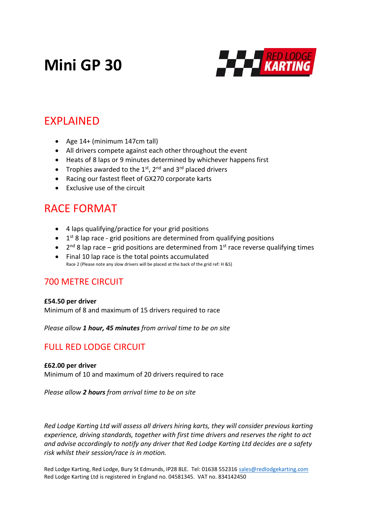# **Mini GP 30**



## EXPLAINED

- Age 14+ (minimum 147cm tall)
- All drivers compete against each other throughout the event
- Heats of 8 laps or 9 minutes determined by whichever happens first
- Trophies awarded to the  $1^{st}$ ,  $2^{nd}$  and  $3^{rd}$  placed drivers
- Racing our fastest fleet of GX270 corporate karts
- Exclusive use of the circuit

# RACE FORMAT

- 4 laps qualifying/practice for your grid positions
- $\bullet$  1<sup>st</sup> 8 lap race grid positions are determined from qualifying positions
- $\bullet$  2<sup>nd</sup> 8 lap race grid positions are determined from 1<sup>st</sup> race reverse qualifying times
- Final 10 lap race is the total points accumulated Race 2 (Please note any slow drivers will be placed at the back of the grid ref: H &S)

### 700 METRE CIRCUIT

### **£54.50 per driver**

Minimum of 8 and maximum of 15 drivers required to race

*Please allow 1 hour, 45 minutes from arrival time to be on site*

## FULL RED LODGE CIRCUIT

### **£62.00 per driver**

Minimum of 10 and maximum of 20 drivers required to race

*Please allow 2 hours from arrival time to be on site*

*Red Lodge Karting Ltd will assess all drivers hiring karts, they will consider previous karting experience, driving standards, together with first time drivers and reserves the right to act and advise accordingly to notify any driver that Red Lodge Karting Ltd decides are a safety risk whilst their session/race is in motion.*

Red Lodge Karting, Red Lodge, Bury St Edmunds, IP28 8LE. Tel: 01638 552316 [sales@redlodgekarting.com](mailto:sales@redlodgekarting.com) Red Lodge Karting Ltd is registered in England no. 04581345. VAT no. 834142450